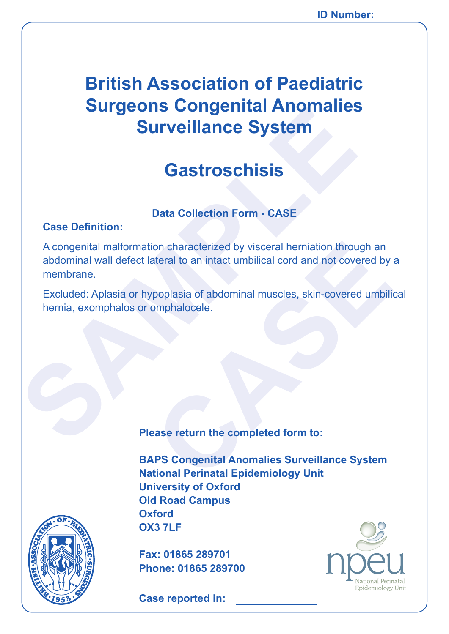# **British Association of Paediatric Surgeons Congenital Anomalies Surveillance System**

## **Gastroschisis**

### **Data Collection Form - CASE**

#### **Case Definition:**

**Surveillance System**<br> **Surveillance System**<br> **Castroschisis**<br>
Case Definition:<br>
A congenital malformation characterized by visceral hermiation throu<br>
abdominal wall defect lateral to an intact umbilical cord and not cover on characterized by visceral herniation through an<br>ateral to an intact umbilical cord and not covered by<br>poplasia of abdominal muscles, skin-covered umbilii<br>pmphalocele.<br>asse return the completed form to:<br>RPS Congenital An A congenital malformation characterized by visceral herniation through an abdominal wall defect lateral to an intact umbilical cord and not covered by a membrane.

Excluded: Aplasia or hypoplasia of abdominal muscles, skin-covered umbilical hernia, exomphalos or omphalocele.

**Please return the completed form to:**

**BAPS Congenital Anomalies Surveillance System National Perinatal Epidemiology Unit University of Oxford Old Road Campus Oxford OX3 7LF**



**Fax: 01865 289701 Phone: 01865 289700**

**Case reported in:** 

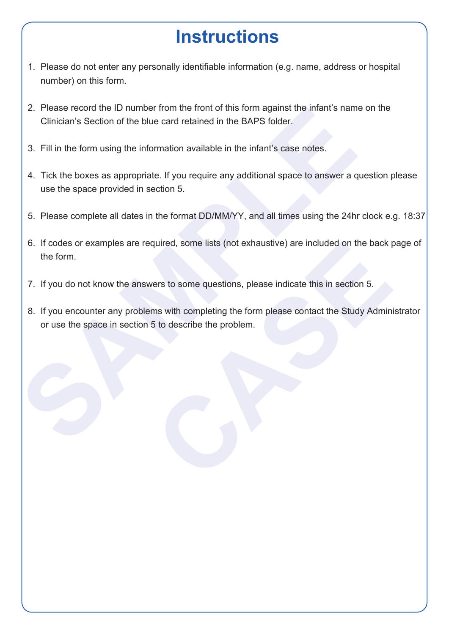# **Instructions**

- 1. Please do not enter any personally identifiable information (e.g. name, address or hospital number) on this form.
- 2. Please record the ID number from the front of this form against the infant's name on the Clinician's Section of the blue card retained in the BAPS folder.
- 3. Fill in the form using the information available in the infant's case notes.
- 2. Please record the ID number from the front of this form against the infant's nam<br>
Clinician's Section of the blue card retained in the BAPS folder.<br>
3. Fill in the form using the information available in the infant's ca 4. Tick the boxes as appropriate. If you require any additional space to answer a question please use the space provided in section 5.
	- 5. Please complete all dates in the format DD/MM/YY, and all times using the 24hr clock e.g. 18:37
	- 6. If codes or examples are required, some lists (not exhaustive) are included on the back page of the form.
	- 7. If you do not know the answers to some questions, please indicate this in section 5.
	- quired, some lists (not exhaustive) are included on the back press to some questions, please indicate this in section 5.<br>
	The swith completing the form please contact the Study Adminity<br>
	5 to describe the problem. 8. If you encounter any problems with completing the form please contact the Study Administrator or use the space in section 5 to describe the problem.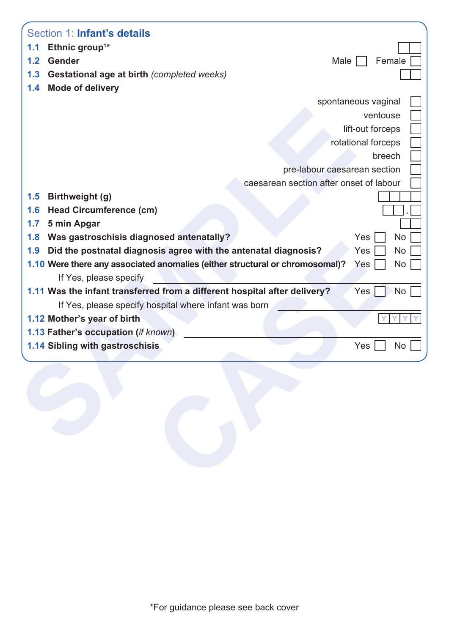|                  | Section 1: Infant's details                                                  |                                         |
|------------------|------------------------------------------------------------------------------|-----------------------------------------|
| 1.1              | Ethnic group <sup>1*</sup>                                                   |                                         |
| 1.2 <sub>1</sub> | Gender                                                                       | Male<br>Female                          |
| 1.3              | Gestational age at birth (completed weeks)                                   |                                         |
| 1.4              | <b>Mode of delivery</b>                                                      |                                         |
|                  |                                                                              | spontaneous vaginal                     |
|                  |                                                                              | ventouse                                |
|                  |                                                                              | lift-out forceps                        |
|                  |                                                                              | rotational forceps                      |
|                  |                                                                              | breech                                  |
|                  |                                                                              | pre-labour caesarean section            |
|                  |                                                                              | caesarean section after onset of labour |
| 1.5              | Birthweight (g)                                                              |                                         |
| 1.6              | <b>Head Circumference (cm)</b>                                               |                                         |
| 1.7              | 5 min Apgar                                                                  |                                         |
| 1.8              | Was gastroschisis diagnosed antenatally?                                     | <b>No</b><br>Yes                        |
| 1.9              | Did the postnatal diagnosis agree with the antenatal diagnosis?              | Yes<br>No                               |
|                  | 1.10 Were there any associated anomalies (either structural or chromosomal)? | No<br>Yes                               |
|                  | If Yes, please specify                                                       |                                         |
|                  | 1.11 Was the infant transferred from a different hospital after delivery?    | Yes.<br><b>No</b>                       |
|                  | If Yes, please specify hospital where infant was born                        |                                         |
|                  | 1.12 Mother's year of birth                                                  |                                         |
|                  | 1.13 Father's occupation (if known)                                          |                                         |
|                  | 1.14 Sibling with gastroschisis                                              | No<br>Yes                               |
|                  |                                                                              |                                         |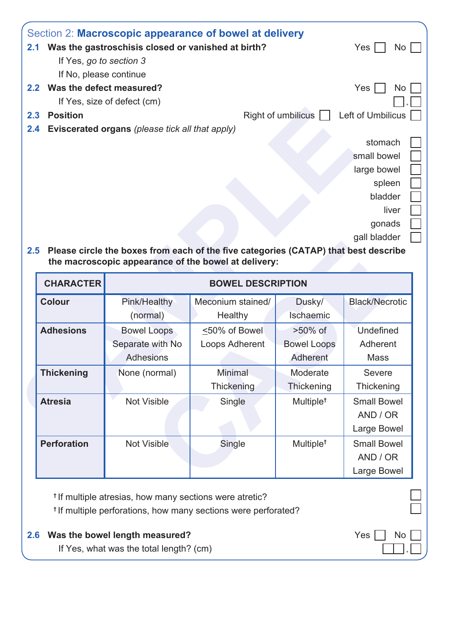|     | Section 2: Macroscopic appearance of bowel at delivery                              |                    |                   |  |
|-----|-------------------------------------------------------------------------------------|--------------------|-------------------|--|
| 2.1 | Was the gastroschisis closed or vanished at birth?                                  |                    | Yes<br>No         |  |
|     | If Yes, go to section 3                                                             |                    |                   |  |
|     | If No, please continue                                                              |                    |                   |  |
| 2.2 | Was the defect measured?                                                            |                    | <b>Yes</b><br>No  |  |
|     | If Yes, size of defect (cm)                                                         |                    |                   |  |
| 2.3 | <b>Position</b>                                                                     | Right of umbilicus | Left of Umbilicus |  |
| 2.4 | Eviscerated organs (please tick all that apply)                                     |                    |                   |  |
|     |                                                                                     |                    | stomach           |  |
|     |                                                                                     |                    | small bowel       |  |
|     |                                                                                     |                    | large bowel       |  |
|     |                                                                                     |                    | spleen            |  |
|     |                                                                                     |                    | bladder           |  |
|     |                                                                                     |                    | liver             |  |
|     |                                                                                     |                    | gonads            |  |
|     |                                                                                     |                    | gall bladder      |  |
| 2.5 | Please circle the boxes from each of the five categories (CATAP) that best describe |                    |                   |  |

|                    |                                                 |                          | Right of umbilicus $\Box$ | Left of Umbilicus                 |  |  |
|--------------------|-------------------------------------------------|--------------------------|---------------------------|-----------------------------------|--|--|
| 2.4                | Eviscerated organs (please tick all that apply) |                          |                           |                                   |  |  |
|                    |                                                 |                          |                           | stomach                           |  |  |
|                    |                                                 |                          |                           | small bowel                       |  |  |
|                    |                                                 |                          |                           | large bowel                       |  |  |
| spleen             |                                                 |                          |                           |                                   |  |  |
|                    |                                                 |                          |                           | bladder                           |  |  |
|                    |                                                 |                          |                           | liver                             |  |  |
|                    |                                                 |                          |                           | gonads                            |  |  |
|                    |                                                 |                          |                           | gall bladder                      |  |  |
| <b>CHARACTER</b>   |                                                 | <b>BOWEL DESCRIPTION</b> |                           |                                   |  |  |
|                    |                                                 |                          |                           |                                   |  |  |
|                    |                                                 |                          |                           |                                   |  |  |
| <b>Colour</b>      | Pink/Healthy                                    | Meconium stained/        | Dusky/                    |                                   |  |  |
|                    | (normal)                                        | Healthy                  | Ischaemic                 |                                   |  |  |
| <b>Adhesions</b>   | <b>Bowel Loops</b>                              | ≤50% of Bowel            | >50% of                   | Undefined                         |  |  |
|                    | Separate with No                                | Loops Adherent           | <b>Bowel Loops</b>        | Adherent                          |  |  |
|                    | <b>Adhesions</b>                                |                          | Adherent                  | <b>Mass</b>                       |  |  |
| <b>Thickening</b>  | None (normal)                                   | <b>Minimal</b>           | Moderate                  | <b>Black/Necrotic</b><br>Severe   |  |  |
|                    |                                                 | Thickening               | Thickening                | Thickening                        |  |  |
| <b>Atresia</b>     | <b>Not Visible</b>                              | Single                   | Multiple <sup>t</sup>     |                                   |  |  |
|                    |                                                 |                          |                           | AND / OR                          |  |  |
|                    |                                                 |                          |                           | <b>Small Bowel</b><br>Large Bowel |  |  |
| <b>Perforation</b> | <b>Not Visible</b>                              | Single                   | Multiple <sup>t</sup>     |                                   |  |  |
|                    |                                                 |                          |                           | <b>Small Bowel</b><br>AND / OR    |  |  |

| <sup>t</sup> If multiple atresias, how many sections were atretic?            |                              |
|-------------------------------------------------------------------------------|------------------------------|
| <sup>t</sup> If multiple perforations, how many sections were perforated?     |                              |
| 2.6 Was the bowel length measured?<br>If Yes, what was the total length? (cm) | $Yes \mid \mid No \mid \mid$ |
|                                                                               |                              |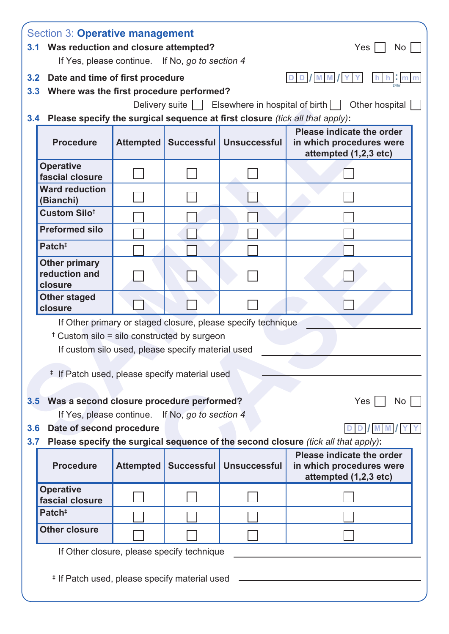|                         | 3.1 Was reduction and closure attempted?                                                                |           | If Yes, please continue. If No, go to section 4   |                                                                              | No                                                                                              |  |  |  |  |
|-------------------------|---------------------------------------------------------------------------------------------------------|-----------|---------------------------------------------------|------------------------------------------------------------------------------|-------------------------------------------------------------------------------------------------|--|--|--|--|
| 3.2 <sub>2</sub>        | Date and time of first procedure                                                                        |           |                                                   |                                                                              | DD/MM<br>- Im                                                                                   |  |  |  |  |
| 3.3                     | Where was the first procedure performed?                                                                |           |                                                   |                                                                              | Delivery suite   Elsewhere in hospital of birth     Other hospital                              |  |  |  |  |
| 3.4                     |                                                                                                         |           |                                                   | Please specify the surgical sequence at first closure (tick all that apply): |                                                                                                 |  |  |  |  |
|                         | <b>Procedure</b>                                                                                        | Attempted | <b>Successful</b>                                 | <b>Unsuccessful</b>                                                          | Please indicate the order<br>in which procedures were<br>attempted (1,2,3 etc)                  |  |  |  |  |
|                         | <b>Operative</b><br>fascial closure                                                                     |           |                                                   |                                                                              |                                                                                                 |  |  |  |  |
|                         | <b>Ward reduction</b><br>(Bianchi)                                                                      |           |                                                   |                                                                              |                                                                                                 |  |  |  |  |
|                         | Custom Silot                                                                                            |           |                                                   |                                                                              |                                                                                                 |  |  |  |  |
|                         | <b>Preformed silo</b>                                                                                   |           |                                                   |                                                                              |                                                                                                 |  |  |  |  |
|                         | Patch <sup>#</sup>                                                                                      |           |                                                   |                                                                              |                                                                                                 |  |  |  |  |
|                         | <b>Other primary</b><br>reduction and<br>closure                                                        |           |                                                   |                                                                              |                                                                                                 |  |  |  |  |
|                         | <b>Other staged</b><br>closure                                                                          |           |                                                   |                                                                              |                                                                                                 |  |  |  |  |
|                         | <sup>†</sup> Custom silo = silo constructed by surgeon<br># If Patch used, please specify material used |           | If custom silo used, please specify material used | If Other primary or staged closure, please specify technique                 |                                                                                                 |  |  |  |  |
|                         | 3.5 Was a second closure procedure performed?                                                           |           | If Yes, please continue. If No, go to section 4   |                                                                              | $Yes \mid$<br>No                                                                                |  |  |  |  |
| 3.6 <sub>2</sub><br>3.7 | Date of second procedure                                                                                |           |                                                   |                                                                              | <b>MIM</b><br>Please specify the surgical sequence of the second closure (tick all that apply): |  |  |  |  |
|                         | <b>Procedure</b>                                                                                        |           |                                                   | Attempted   Successful   Unsuccessful                                        | Please indicate the order<br>in which procedures were<br>attempted (1,2,3 etc)                  |  |  |  |  |
|                         | <b>Operative</b><br>fascial closure                                                                     |           |                                                   |                                                                              |                                                                                                 |  |  |  |  |
|                         | Patch <sup>#</sup>                                                                                      |           |                                                   |                                                                              |                                                                                                 |  |  |  |  |
|                         |                                                                                                         |           |                                                   |                                                                              |                                                                                                 |  |  |  |  |
|                         | <b>Other closure</b>                                                                                    |           |                                                   | If Other closure, please specify technique                                   |                                                                                                 |  |  |  |  |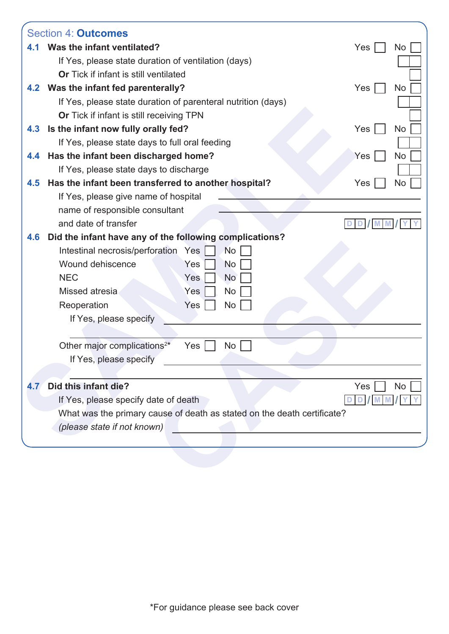|     | <b>Section 4: Outcomes</b>                                              |                  |
|-----|-------------------------------------------------------------------------|------------------|
| 4.1 | Was the infant ventilated?                                              | Yes<br>No        |
|     | If Yes, please state duration of ventilation (days)                     |                  |
|     | Or Tick if infant is still ventilated                                   |                  |
| 4.2 | Was the infant fed parenterally?                                        | Yes<br>No        |
|     | If Yes, please state duration of parenteral nutrition (days)            |                  |
|     | Or Tick if infant is still receiving TPN                                |                  |
| 4.3 | Is the infant now fully orally fed?                                     | <b>Yes</b><br>No |
|     | If Yes, please state days to full oral feeding                          |                  |
| 4.4 | Has the infant been discharged home?                                    | No<br>Yes        |
|     | If Yes, please state days to discharge                                  |                  |
| 4.5 | Has the infant been transferred to another hospital?                    | No<br>Yes        |
|     | If Yes, please give name of hospital                                    |                  |
|     | name of responsible consultant                                          |                  |
|     | and date of transfer                                                    |                  |
| 4.6 | Did the infant have any of the following complications?                 |                  |
|     | Intestinal necrosis/perforation<br><b>No</b><br>Yes                     |                  |
|     | Wound dehiscence<br>Yes<br><b>No</b>                                    |                  |
|     | <b>NEC</b><br><b>No</b><br>Yes                                          |                  |
|     | Missed atresia<br>Yes<br><b>No</b>                                      |                  |
|     | Yes<br><b>No</b><br>Reoperation                                         |                  |
|     | If Yes, please specify                                                  |                  |
|     |                                                                         |                  |
|     | Other major complications <sup>2*</sup><br><b>No</b><br>Yes             |                  |
|     | If Yes, please specify                                                  |                  |
|     |                                                                         |                  |
| 4.7 | Did this infant die?                                                    | Yes<br>No        |
|     | If Yes, please specify date of death                                    |                  |
|     | What was the primary cause of death as stated on the death certificate? |                  |
|     | (please state if not known)                                             |                  |
|     |                                                                         |                  |
|     |                                                                         |                  |
|     |                                                                         |                  |
|     |                                                                         |                  |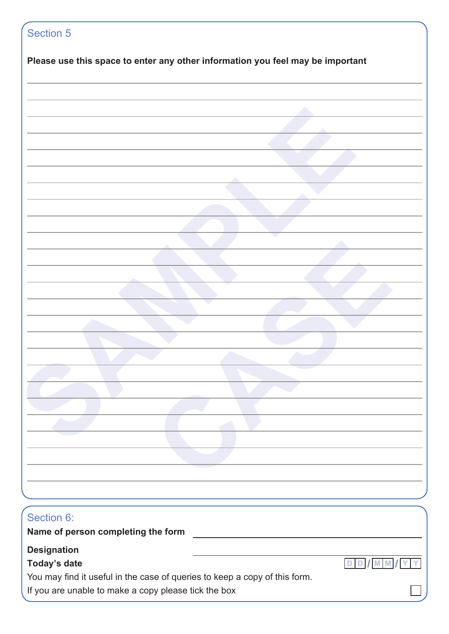| Please use this space to enter any other information you feel may be important |  |       |
|--------------------------------------------------------------------------------|--|-------|
|                                                                                |  |       |
|                                                                                |  |       |
|                                                                                |  |       |
|                                                                                |  |       |
|                                                                                |  |       |
|                                                                                |  |       |
|                                                                                |  |       |
|                                                                                |  |       |
|                                                                                |  |       |
|                                                                                |  |       |
|                                                                                |  |       |
|                                                                                |  |       |
|                                                                                |  |       |
|                                                                                |  |       |
|                                                                                |  |       |
|                                                                                |  |       |
|                                                                                |  |       |
|                                                                                |  |       |
|                                                                                |  |       |
|                                                                                |  |       |
|                                                                                |  |       |
|                                                                                |  |       |
|                                                                                |  |       |
|                                                                                |  |       |
|                                                                                |  |       |
| Section 6:                                                                     |  |       |
| Name of person completing the form                                             |  |       |
| <b>Designation</b>                                                             |  |       |
| Today's date                                                                   |  | DD/MM |